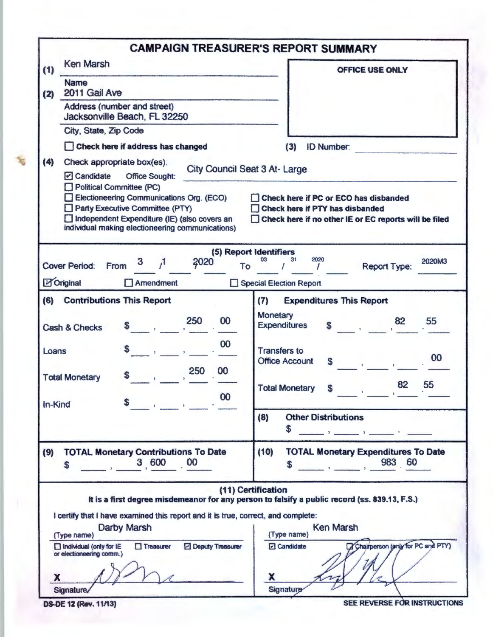|         |                                                                                                                                                                                                                                                                                                                                                                                                                                                | <b>CAMPAIGN TREASURER'S REPORT SUMMARY</b>                                                                                                                                                                                                                                                                                                                                                                                                                            |  |  |  |  |  |  |
|---------|------------------------------------------------------------------------------------------------------------------------------------------------------------------------------------------------------------------------------------------------------------------------------------------------------------------------------------------------------------------------------------------------------------------------------------------------|-----------------------------------------------------------------------------------------------------------------------------------------------------------------------------------------------------------------------------------------------------------------------------------------------------------------------------------------------------------------------------------------------------------------------------------------------------------------------|--|--|--|--|--|--|
| (1)     | <b>Ken Marsh</b>                                                                                                                                                                                                                                                                                                                                                                                                                               | <b>OFFICE USE ONLY</b>                                                                                                                                                                                                                                                                                                                                                                                                                                                |  |  |  |  |  |  |
| (2)     | <b>Name</b><br>2011 Gail Ave                                                                                                                                                                                                                                                                                                                                                                                                                   |                                                                                                                                                                                                                                                                                                                                                                                                                                                                       |  |  |  |  |  |  |
|         | Address (number and street)<br>Jacksonville Beach, FL 32250                                                                                                                                                                                                                                                                                                                                                                                    |                                                                                                                                                                                                                                                                                                                                                                                                                                                                       |  |  |  |  |  |  |
|         | City, State, Zip Code                                                                                                                                                                                                                                                                                                                                                                                                                          |                                                                                                                                                                                                                                                                                                                                                                                                                                                                       |  |  |  |  |  |  |
|         | Check here if address has changed                                                                                                                                                                                                                                                                                                                                                                                                              | (3)<br><b>ID Number:</b>                                                                                                                                                                                                                                                                                                                                                                                                                                              |  |  |  |  |  |  |
| (4)     | Check appropriate box(es):                                                                                                                                                                                                                                                                                                                                                                                                                     |                                                                                                                                                                                                                                                                                                                                                                                                                                                                       |  |  |  |  |  |  |
|         | City Council Seat 3 At-Large<br>$\triangleright$ Candidate<br><b>Office Sought:</b><br>Political Committee (PC)<br>Electioneering Communications Org. (ECO)<br>Check here if PC or ECO has disbanded<br>Party Executive Committee (PTY)<br><b>Check here if PTY has disbanded</b><br>Independent Expenditure (IE) (also covers an<br>Check here if no other IE or EC reports will be filed<br>individual making electioneering communications) |                                                                                                                                                                                                                                                                                                                                                                                                                                                                       |  |  |  |  |  |  |
|         | 2020<br>$\mathcal{A}$<br><b>Cover Period:</b><br>From<br><b>To</b><br><b>M</b> Original<br>Amendment                                                                                                                                                                                                                                                                                                                                           | (5) Report Identifiers<br>03 <sup>°</sup><br>31<br>2020<br>2020M3<br>Report Type:<br>$\sim$ 1<br>Special Election Report                                                                                                                                                                                                                                                                                                                                              |  |  |  |  |  |  |
|         |                                                                                                                                                                                                                                                                                                                                                                                                                                                |                                                                                                                                                                                                                                                                                                                                                                                                                                                                       |  |  |  |  |  |  |
| (6)     | <b>Contributions This Report</b>                                                                                                                                                                                                                                                                                                                                                                                                               | (7)<br><b>Expenditures This Report</b>                                                                                                                                                                                                                                                                                                                                                                                                                                |  |  |  |  |  |  |
|         | 250<br>00<br><b>Cash &amp; Checks</b>                                                                                                                                                                                                                                                                                                                                                                                                          | Monetary<br>55<br>$\begin{array}{ccc} \text{1} & \text{1} & \text{1} & \text{1} & \text{1} & \text{1} & \text{1} & \text{1} & \text{1} & \text{1} & \text{1} & \text{1} & \text{1} & \text{1} & \text{1} & \text{1} & \text{1} & \text{1} & \text{1} & \text{1} & \text{1} & \text{1} & \text{1} & \text{1} & \text{1} & \text{1} & \text{1} & \text{1} & \text{1} & \text{1} & \text{1} & \text{1} & \text{1} & \text{1} & \text{1} & \text{$<br><b>Expenditures</b> |  |  |  |  |  |  |
| Loans   | 00                                                                                                                                                                                                                                                                                                                                                                                                                                             | <b>Transfers to</b><br>00<br><b>Office Account</b>                                                                                                                                                                                                                                                                                                                                                                                                                    |  |  |  |  |  |  |
|         | 250<br>00<br>\$<br><b>Total Monetary</b><br>00                                                                                                                                                                                                                                                                                                                                                                                                 | 82<br>55<br><b>Total Monetary</b><br>S                                                                                                                                                                                                                                                                                                                                                                                                                                |  |  |  |  |  |  |
| In-Kind | S.<br>the property of the control of the                                                                                                                                                                                                                                                                                                                                                                                                       | <b>Other Distributions</b><br>(8)<br>\$<br>Figure 2014 and 2015 and 2016 and 2017                                                                                                                                                                                                                                                                                                                                                                                     |  |  |  |  |  |  |
| (9)     | <b>TOTAL Monetary Contributions To Date</b><br>3,600<br>00<br>S                                                                                                                                                                                                                                                                                                                                                                                | (10)<br><b>TOTAL Monetary Expenditures To Date</b><br>983 60<br>$\mathbf{1}$<br>$\boldsymbol{s}$                                                                                                                                                                                                                                                                                                                                                                      |  |  |  |  |  |  |
|         | I certify that I have examined this report and it is true, correct, and complete:<br>Darby Marsh<br>(Type name)<br>$\Box$ Treasurer<br>Deputy Treasurer<br>$\Box$ Individual (only for IE<br>or electioneering comm.)<br>X                                                                                                                                                                                                                     | (11) Certification<br>It is a first degree misdemeanor for any person to falsify a public record (ss. 839.13, F.S.)<br><b>Ken Marsh</b><br>(Type name)<br>Chairperson (anly for PC and PTY)<br><b>Z</b> Candidate<br>X                                                                                                                                                                                                                                                |  |  |  |  |  |  |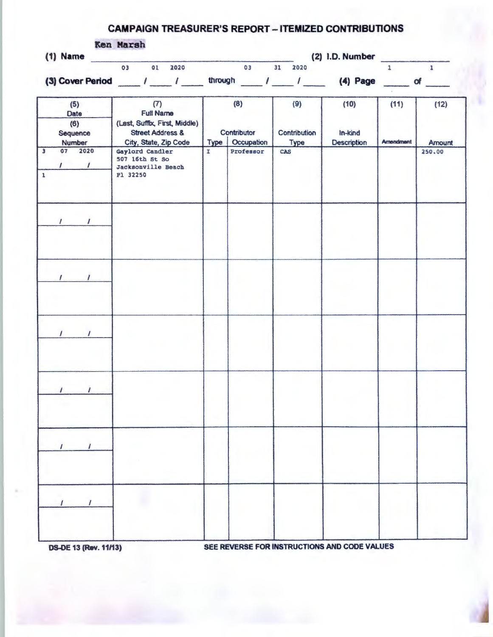## CAMPAIGN TREASURER'S REPORT - ITEMIZED CONTRIBUTIONS

| $(1)$ Name                                             | Ken Marsh<br>(2) 1.D. Number                                                                                     |                |                                  |                                    |                                |                          |                |  |  |  |
|--------------------------------------------------------|------------------------------------------------------------------------------------------------------------------|----------------|----------------------------------|------------------------------------|--------------------------------|--------------------------|----------------|--|--|--|
|                                                        | 03<br>01<br>2020                                                                                                 | $\overline{a}$ | 03                               | 31 2020                            |                                | 1                        | $\mathbf{1}$   |  |  |  |
|                                                        | (3) Cover Period ___ / ___ / ___ through __ / ___ / __ (4) Page __ of __                                         |                |                                  |                                    |                                |                          |                |  |  |  |
| (5)<br>Date<br>(6)<br>Sequence<br>Number               | (7)<br><b>Full Name</b><br>(Last, Suffix, First, Middle)<br><b>Street Address &amp;</b><br>City, State, Zip Code | Type           | (8)<br>Contributor<br>Occupation | (9)<br>Contribution<br><b>Type</b> | (10)<br>In-kind<br>Description | (11)<br><b>Amendment</b> | (12)<br>Amount |  |  |  |
| $\overline{3}$<br>07 2020<br>$\sqrt{1}$<br>$\mathbf 1$ | Gaylord Candler<br>507 16th St So<br>Jacksonville Beach<br>F1 32250                                              | I              | Professor                        | <b>CAS</b>                         |                                |                          | 250.00         |  |  |  |
| $\sqrt{2}$<br>$\prime$                                 |                                                                                                                  |                |                                  |                                    |                                |                          |                |  |  |  |
| $\sqrt{2}$                                             |                                                                                                                  |                |                                  |                                    |                                |                          |                |  |  |  |
| $\prime$<br>$\prime$                                   |                                                                                                                  |                |                                  |                                    |                                |                          |                |  |  |  |
| $\prime$                                               |                                                                                                                  |                |                                  |                                    |                                |                          |                |  |  |  |
|                                                        |                                                                                                                  |                |                                  |                                    |                                |                          |                |  |  |  |
|                                                        |                                                                                                                  |                |                                  |                                    |                                |                          |                |  |  |  |

OS.OE 13 (Rev. 11/13) SEE REVERSE FOR INSTRUCTIONS AND CODE VALUES